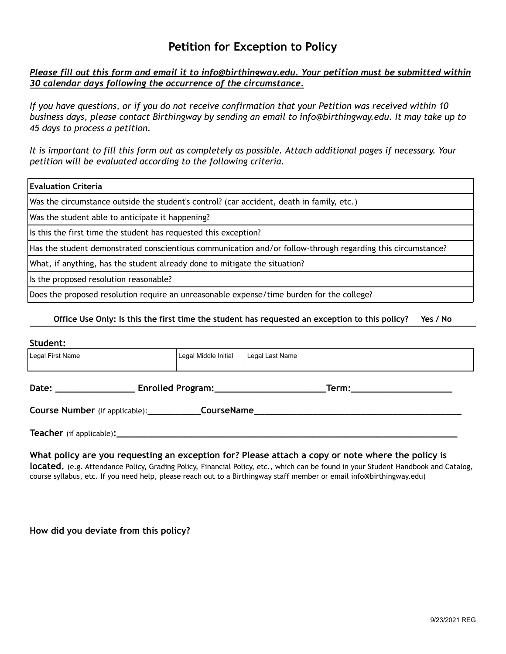# **Petition for Exception to Policy**

## *Please fill out this form and email it to info@birthingway.edu. Your petition must be submitted within 30 calendar days following the occurrence of the circumstance.*

*If you have questions, or if you do not receive confirmation that your Petition was received within 10 business days, please contact Birthingway by sending an email to info@birthingway.edu. It may take up to 45 days to process a petition.*

*It is important to fill this form out as completely as possible. Attach additional pages if necessary. Your petition will be evaluated according to the following criteria.*

| Evaluation Criteria                                                                                         |  |  |
|-------------------------------------------------------------------------------------------------------------|--|--|
| Was the circumstance outside the student's control? (car accident, death in family, etc.)                   |  |  |
| Was the student able to anticipate it happening?                                                            |  |  |
| Is this the first time the student has requested this exception?                                            |  |  |
| Has the student demonstrated conscientious communication and/or follow-through regarding this circumstance? |  |  |
| What, if anything, has the student already done to mitigate the situation?                                  |  |  |
| Is the proposed resolution reasonable?                                                                      |  |  |
| Does the proposed resolution require an unreasonable expense/time burden for the college?                   |  |  |

#### **Office Use Only: Is this the first time the student has requested an exception to this policy? Yes / No**

#### **Student:**

| --------                                                                                                                                                                                                                                                                                                                                                                              |                      |                 |  |
|---------------------------------------------------------------------------------------------------------------------------------------------------------------------------------------------------------------------------------------------------------------------------------------------------------------------------------------------------------------------------------------|----------------------|-----------------|--|
| Legal First Name                                                                                                                                                                                                                                                                                                                                                                      | Legal Middle Initial | Legal Last Name |  |
| Enrolled Program: 2008 2010 2020<br>Date: the contract of the contract of the contract of the contract of the contract of the contract of the contract of the contract of the contract of the contract of the contract of the contract of the contract of the cont<br>Term: with a state of the state of the state of the state of the state of the state of the state of the state o |                      |                 |  |
| Course Number (if applicable):<br><b>CourseName</b><br><u> 1989 - Johann Harry Harry Harry Harry Harry Harry Harry Harry Harry Harry Harry Harry Harry Harry Harry Harry</u>                                                                                                                                                                                                          |                      |                 |  |
|                                                                                                                                                                                                                                                                                                                                                                                       |                      |                 |  |

### **What policy are you requesting an exception for? Please attach a copy or note where the policy is**

**located.** (e.g. Attendance Policy, Grading Policy, Financial Policy, etc., which can be found in your Student Handbook and Catalog, course syllabus, etc. If you need help, please reach out to a Birthingway staff member or email info@birthingway.edu)

**How did you deviate from this policy?**